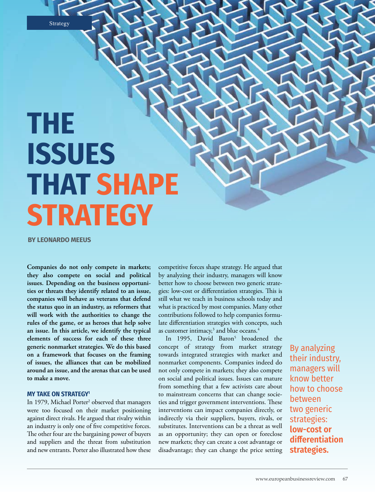**Strategy** 

# **THE ISSUES THAT SHAPE STRATEGY**

**BY LEONARDO MEEUS**

**Companies do not only compete in markets; they also compete on social and political issues. Depending on the business opportunities or threats they identify related to an issue, companies will behave as veterans that defend the status quo in an industry, as reformers that will work with the authorities to change the rules of the game, or as heroes that help solve an issue. In this article, we identify the typical elements of success for each of these three generic nonmarket strategies. We do this based on a framework that focuses on the framing of issues, the alliances that can be mobilized around an issue, and the arenas that can be used to make a move.**

# **MY TAKE ON STRATEGY1**

In 1979, Michael Porter<sup>2</sup> observed that managers were too focused on their market positioning against direct rivals. He argued that rivalry within an industry is only one of five competitive forces. The other four are the bargaining power of buyers and suppliers and the threat from substitution and new entrants. Porter also illustrated how these

competitive forces shape strategy. He argued that by analyzing their industry, managers will know better how to choose between two generic strategies: low-cost or differentiation strategies. This is still what we teach in business schools today and what is practiced by most companies. Many other contributions followed to help companies formulate differentiation strategies with concepts, such as customer intimacy, $^3$  and blue oceans. $^4$ 

In 1995, David Baron<sup>5</sup> broadened the concept of strategy from market strategy towards integrated strategies with market and nonmarket components. Companies indeed do not only compete in markets; they also compete on social and political issues. Issues can mature from something that a few activists care about to mainstream concerns that can change societies and trigger government interventions. These interventions can impact companies directly, or indirectly via their suppliers, buyers, rivals, or substitutes. Interventions can be a threat as well as an opportunity; they can open or foreclose new markets; they can create a cost advantage or disadvantage; they can change the price setting

By analyzing their industry, managers will know better how to choose between two generic strategies: **low-cost or differentiation strategies.**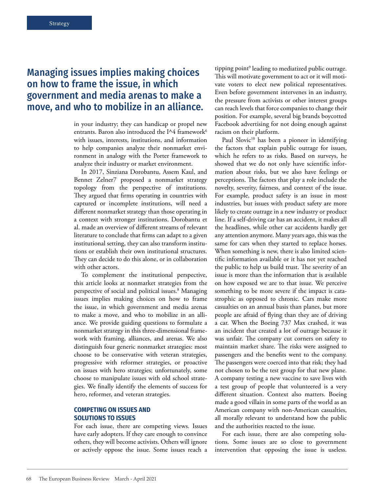# Managing issues implies making choices on how to frame the issue, in which government and media arenas to make a move, and who to mobilize in an alliance.

in your industry; they can handicap or propel new entrants. Baron also introduced the I^4 framework<sup>6</sup> with issues, interests, institutions, and information to help companies analyze their nonmarket environment in analogy with the Porter framework to analyze their industry or market environment.

In 2017, Sinziana Dorobantu, Assem Kaul, and Bennet Zelner7 proposed a nonmarket strategy topology from the perspective of institutions. They argued that firms operating in countries with captured or incomplete institutions, will need a different nonmarket strategy than those operating in a context with stronger institutions. Dorobantu et al. made an overview of different streams of relevant literature to conclude that firms can adapt to a given institutional setting, they can also transform institutions or establish their own institutional structures. They can decide to do this alone, or in collaboration with other actors.

To complement the institutional perspective, this article looks at nonmarket strategies from the perspective of social and political issues.8 Managing issues implies making choices on how to frame the issue, in which government and media arenas to make a move, and who to mobilize in an alliance. We provide guiding questions to formulate a nonmarket strategy in this three-dimensional framework with framing, alliances, and arenas. We also distinguish four generic nonmarket strategies: most choose to be conservative with veteran strategies, progressive with reformer strategies, or proactive on issues with hero strategies; unfortunately, some choose to manipulate issues with old school strategies. We finally identify the elements of success for hero, reformer, and veteran strategies.

## **COMPETING ON ISSUES AND SOLUTIONS TO ISSUES**

For each issue, there are competing views. Issues have early adopters. If they care enough to convince others, they will become activists. Others will ignore or actively oppose the issue. Some issues reach a tipping point<sup>9</sup> leading to mediatized public outrage. This will motivate government to act or it will motivate voters to elect new political representatives. Even before government intervenes in an industry, the pressure from activists or other interest groups can reach levels that force companies to change their position. For example, several big brands boycotted Facebook advertising for not doing enough against racism on their platform.

Paul Slovic<sup>10</sup> has been a pioneer in identifying the factors that explain public outrage for issues, which he refers to as risks. Based on surveys, he showed that we do not only have scientific information about risks, but we also have feelings or perceptions. The factors that play a role include the novelty, severity, fairness, and context of the issue. For example, product safety is an issue in most industries, but issues with product safety are more likely to create outrage in a new industry or product line. If a self-driving car has an accident, it makes all the headlines, while other car accidents hardly get any attention anymore. Many years ago, this was the same for cars when they started to replace horses. When something is new, there is also limited scientific information available or it has not yet reached the public to help us build trust. The severity of an issue is more than the information that is available on how exposed we are to that issue. We perceive something to be more severe if the impact is catastrophic as opposed to chronic. Cars make more casualties on an annual basis than planes, but more people are afraid of flying than they are of driving a car. When the Boeing 737 Max crashed, it was an incident that created a lot of outrage because it was unfair. The company cut corners on safety to maintain market share. The risks were assigned to passengers and the benefits went to the company. The passengers were coerced into that risk; they had not chosen to be the test group for that new plane. A company testing a new vaccine to save lives with a test group of people that volunteered is a very different situation. Context also matters. Boeing made a good villain in some parts of the world as an American company with non-American casualties, all morally relevant to understand how the public and the authorities reacted to the issue.

For each issue, there are also competing solutions. Some issues are so close to government intervention that opposing the issue is useless.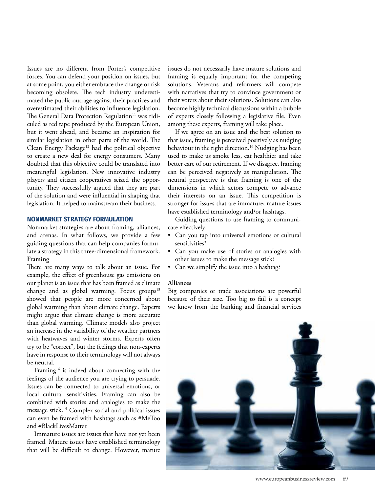Issues are no different from Porter's competitive forces. You can defend your position on issues, but at some point, you either embrace the change or risk becoming obsolete. The tech industry underestimated the public outrage against their practices and overestimated their abilities to influence legislation. The General Data Protection Regulation<sup>11</sup> was ridiculed as red tape produced by the European Union, but it went ahead, and became an inspiration for similar legislation in other parts of the world. The Clean Energy Package<sup>12</sup> had the political objective to create a new deal for energy consumers. Many doubted that this objective could be translated into meaningful legislation. New innovative industry players and citizen cooperatives seized the opportunity. They successfully argued that they are part of the solution and were influential in shaping that legislation. It helped to mainstream their business.

#### **NONMARKET STRATEGY FORMULATION**

Nonmarket strategies are about framing, alliances, and arenas. In what follows, we provide a few guiding questions that can help companies formulate a strategy in this three-dimensional framework. **Framing**

There are many ways to talk about an issue. For example, the effect of greenhouse gas emissions on our planet is an issue that has been framed as climate change and as global warming. Focus groups<sup>13</sup> showed that people are more concerned about global warming than about climate change. Experts might argue that climate change is more accurate than global warming. Climate models also project an increase in the variability of the weather partners with heatwaves and winter storms. Experts often try to be "correct", but the feelings that non-experts have in response to their terminology will not always be neutral.

Framing<sup>14</sup> is indeed about connecting with the feelings of the audience you are trying to persuade. Issues can be connected to universal emotions, or local cultural sensitivities. Framing can also be combined with stories and analogies to make the message stick.15 Complex social and political issues can even be framed with hashtags such as #MeToo and #BlackLivesMatter.

Immature issues are issues that have not yet been framed. Mature issues have established terminology that will be difficult to change. However, mature issues do not necessarily have mature solutions and framing is equally important for the competing solutions. Veterans and reformers will compete with narratives that try to convince government or their voters about their solutions. Solutions can also become highly technical discussions within a bubble of experts closely following a legislative file. Even among these experts, framing will take place.

If we agree on an issue and the best solution to that issue, framing is perceived positively as nudging behaviour in the right direction.<sup>16</sup> Nudging has been used to make us smoke less, eat healthier and take better care of our retirement. If we disagree, framing can be perceived negatively as manipulation. The neutral perspective is that framing is one of the dimensions in which actors compete to advance their interests on an issue. This competition is stronger for issues that are immature; mature issues have established terminology and/or hashtags.

Guiding questions to use framing to communicate effectively:

- Can you tap into universal emotions or cultural sensitivities?
- Can you make use of stories or analogies with other issues to make the message stick?
- Can we simplify the issue into a hashtag?

#### **Alliances**

Big companies or trade associations are powerful because of their size. Too big to fail is a concept we know from the banking and financial services

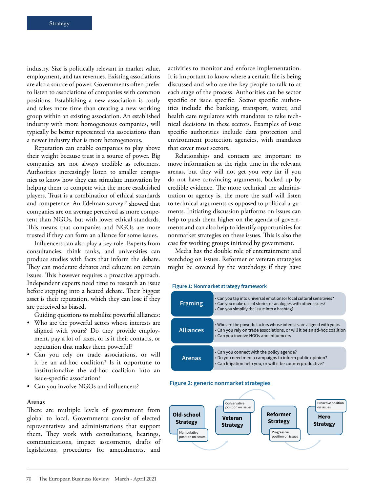industry. Size is politically relevant in market value, employment, and tax revenues. Existing associations are also a source of power. Governments often prefer to listen to associations of companies with common positions. Establishing a new association is costly and takes more time than creating a new working group within an existing association. An established industry with more homogeneous companies, will typically be better represented via associations than a newer industry that is more heterogeneous.

Reputation can enable companies to play above their weight because trust is a source of power. Big companies are not always credible as reformers. Authorities increasingly listen to smaller companies to know how they can stimulate innovation by helping them to compete with the more established players. Trust is a combination of ethical standards and competence. An Edelman survey<sup>17</sup> showed that companies are on average perceived as more competent than NGOs, but with lower ethical standards. This means that companies and NGOs are more trusted if they can form an alliance for some issues.

Influencers can also play a key role. Experts from consultancies, think tanks, and universities can produce studies with facts that inform the debate. They can moderate debates and educate on certain issues. This however requires a proactive approach. Independent experts need time to research an issue before stepping into a heated debate. Their biggest asset is their reputation, which they can lose if they are perceived as biased.

Guiding questions to mobilize powerful alliances:

- Who are the powerful actors whose interests are aligned with yours? Do they provide employment, pay a lot of taxes, or is it their contacts, or reputation that makes them powerful?
- Can you rely on trade associations, or will it be an ad-hoc coalition? Is it opportune to institutionalize the ad-hoc coalition into an issue-specific association?
- Can you involve NGOs and influencers?

#### **Arenas**

There are multiple levels of government from global to local. Governments consist of elected representatives and administrations that support them. They work with consultations, hearings, communications, impact assessments, drafts of legislations, procedures for amendments, and

activities to monitor and enforce implementation. It is important to know where a certain file is being discussed and who are the key people to talk to at each stage of the process. Authorities can be sector specific or issue specific. Sector specific authorities include the banking, transport, water, and health care regulators with mandates to take technical decisions in these sectors. Examples of issue specific authorities include data protection and environment protection agencies, with mandates that cover most sectors.

Relationships and contacts are important to move information at the right time in the relevant arenas, but they will not get you very far if you do not have convincing arguments, backed up by credible evidence. The more technical the administration or agency is, the more the staff will listen to technical arguments as opposed to political arguments. Initiating discussion platforms on issues can help to push them higher on the agenda of governments and can also help to identify opportunities for nonmarket strategies on these issues. This is also the case for working groups initiated by government.

Media has the double role of entertainment and watchdog on issues. Reformer or veteran strategies might be covered by the watchdogs if they have

#### Figure 1: Nonmarket strategy framework



#### Figure 2: generic nonmarket strategies

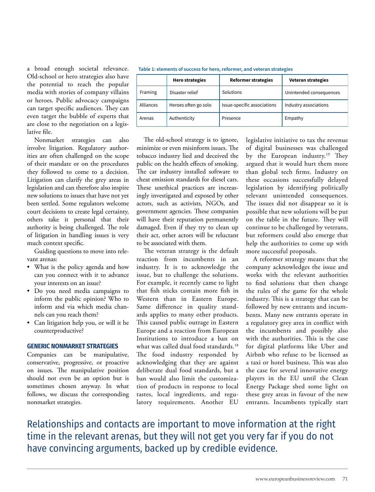a broad enough societal relevance. Old-school or hero strategies also have the potential to reach the popular media with stories of company villains or heroes. Public advocacy campaigns can target specific audiences. They can even target the bubble of experts that are close to the negotiation on a legislative file.

Nonmarket strategies can also involve litigation. Regulatory authorities are often challenged on the scope of their mandate or on the procedures they followed to come to a decision. Litigation can clarify the grey areas in legislation and can therefore also inspire new solutions to issues that have not yet been settled. Some regulators welcome court decisions to create legal certainty, others take it personal that their authority is being challenged. The role of litigation in handling issues is very much context specific.

Guiding questions to move into relevant arenas:

- What is the policy agenda and how can you connect with it to advance your interests on an issue?
- Do you need media campaigns to inform the public opinion? Who to inform and via which media channels can you reach them?
- Can litigation help you, or will it be counterproductive?

# **GENERIC NONMARKET STRATEGIES**

Companies can be manipulative, conservative, progressive, or proactive on issues. The manipulative position should not even be an option but is sometimes chosen anyway. In what follows, we discuss the corresponding nonmarket strategies.

Table 1: elements of success for hero, reformer, and veteran strategies

|           | <b>Hero strategies</b> | <b>Reformer strategies</b>  | <b>Veteran strategies</b> |
|-----------|------------------------|-----------------------------|---------------------------|
| Framing   | Disaster relief        | Solutions                   | Unintended consequences   |
| Alliances | Heroes often go solo   | Issue-specific associations | Industry associations     |
| Arenas    | Authenticity           | Presence                    | Empathy                   |

The old-school strategy is to ignore, minimize or even misinform issues. The tobacco industry lied and deceived the public on the health effects of smoking. The car industry installed software to cheat emission standards for diesel cars. These unethical practices are increasingly investigated and exposed by other actors, such as activists, NGOs, and government agencies. These companies will have their reputation permanently damaged. Even if they try to clean up their act, other actors will be reluctant to be associated with them.

The veteran strategy is the default reaction from incumbents in an industry. It is to acknowledge the issue, but to challenge the solutions. For example, it recently came to light that fish sticks contain more fish in Western than in Eastern Europe. Same difference in quality standards applies to many other products. This caused public outrage in Eastern Europe and a reaction from European Institutions to introduce a ban on what was called dual food standards.<sup>18</sup> The food industry responded by acknowledging that they are against deliberate dual food standards, but a ban would also limit the customization of products in response to local tastes, local ingredients, and regulatory requirements. Another EU

legislative initiative to tax the revenue of digital businesses was challenged by the European industry.<sup>19</sup> They argued that it would hurt them more than global tech firms. Industry on these occasions successfully delayed legislation by identifying politically relevant unintended consequences. The issues did not disappear so it is possible that new solutions will be put on the table in the future. They will continue to be challenged by veterans, but reformers could also emerge that help the authorities to come up with more successful proposals.

A reformer strategy means that the company acknowledges the issue and works with the relevant authorities to find solutions that then change the rules of the game for the whole industry. This is a strategy that can be followed by new entrants and incumbents. Many new entrants operate in a regulatory grey area in conflict with the incumbents and possibly also with the authorities. This is the case for digital platforms like Uber and Airbnb who refuse to be licensed as a taxi or hotel business. This was also the case for several innovative energy players in the EU until the Clean Energy Package shed some light on these grey areas in favour of the new entrants. Incumbents typically start

Relationships and contacts are important to move information at the right time in the relevant arenas, but they will not get you very far if you do not have convincing arguments, backed up by credible evidence.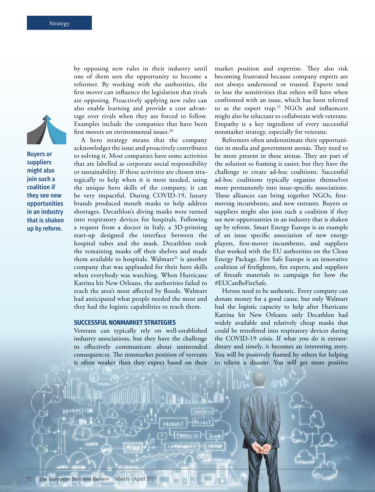

Buyers or suppliers might also join such a coalition if they see new opportunities in an industry that is shaken up by reform.

by opposing new rules in their industry until one of them sees the opportunity to become a reformer. By working with the authorities, the first mover can influence the legislation that rivals are opposing. Proactively applying new rules can also enable learning and provide a cost advantage over rivals when they are forced to follow. Examples include the companies that have been first movers on environmental issues.<sup>20</sup>

A hero strategy means that the company acknowledges the issue and proactively contributes to solving it. Most companies have some activities that are labelled as corporate social responsibility or sustainability. If these activities are chosen strategically to help when it is most needed, using the unique hero skills of the company, it can be very impactful. During COVID-19, luxury brands produced mouth masks to help address shortages. Decathlon's diving masks were turned into respiratory devices for hospitals. Following a request from a doctor in Italy, a 3D-printing start-up designed the interface between the hospital tubes and the mask. Decathlon took the remaining masks off their shelves and made them available to hospitals. Walmart<sup>21</sup> is another company that was applauded for their hero skills when everybody was watching. When Hurricane Katrina hit New Orleans, the authorities failed to reach the area's most affected by floods. Walmart had anticipated what people needed the most and they had the logistic capabilities to reach them.

## **SUCCESSFUL NONMARKET STRATEGIES**

Veterans can typically rely on well-established industry associations, but they have the challenge to effectively communicate about unintended consequences. The nonmarket position of veterans is often weaker than they expect based on their market position and expertise. They also risk becoming frustrated because company experts are not always understood or trusted. Experts tend to lose the sensitivities that others will have when confronted with an issue, which has been referred to as the expert trap.<sup>22</sup> NGOs and influencers might also be reluctant to collaborate with veterans. Empathy is a key ingredient of every successful nonmarket strategy, especially for veterans.

Reformers often underestimate their opportunities in media and government arenas. They need to be more present in these arenas. They are part of the solution so framing is easier, but they have the challenge to create ad-hoc coalitions. Successful ad-hoc coalitions typically organize themselves more permanently into issue-specific associations. These alliances can bring together NGOs, firstmoving incumbents, and new entrants. Buyers or suppliers might also join such a coalition if they see new opportunities in an industry that is shaken up by reform. Smart Energy Europe is an example of an issue specific association of new energy players, first-mover incumbents, and suppliers that worked with the EU authorities on the Clean Energy Package. Fire Safe Europe is an innovative coalition of firefighters, fire experts, and suppliers of firesafe materials to campaign for how the #EUCanBeFireSafe.

Heroes need to be authentic. Every company can donate money for a good cause, but only Walmart had the logistic capacity to help after Hurricane Katrina hit New Orleans; only Decathlon had widely available and relatively cheap masks that could be retrofitted into respiratory devices during the COVID-19 crisis. If what you do is extraordinary and timely, it becomes an interesting story. You will be positively framed by others for helping to relieve a disaster. You will get more positive